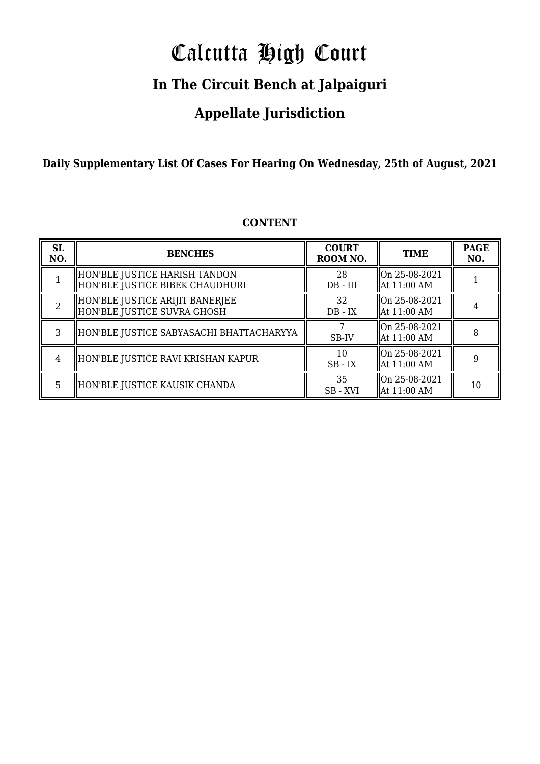# Calcutta High Court

### **In The Circuit Bench at Jalpaiguri**

### **Appellate Jurisdiction**

**Daily Supplementary List Of Cases For Hearing On Wednesday, 25th of August, 2021**

| <b>SL</b><br>NO. | <b>BENCHES</b>                                                    | <b>COURT</b><br>ROOM NO. | <b>TIME</b>                    | <b>PAGE</b><br>NO. |
|------------------|-------------------------------------------------------------------|--------------------------|--------------------------------|--------------------|
|                  | HON'BLE JUSTICE HARISH TANDON <br>HON'BLE JUSTICE BIBEK CHAUDHURI | 28<br>$DB$ - $III$       | On 25-08-2021<br>  At 11:00 AM |                    |
| 2                | HON'BLE JUSTICE ARIJIT BANERJEE<br>HON'BLE JUSTICE SUVRA GHOSH    | 32<br>$DB - IX$          | On 25-08-2021<br>  At 11:00 AM |                    |
| 3                | HON'BLE JUSTICE SABYASACHI BHATTACHARYYA                          | SB-IV                    | On 25-08-2021<br>  At 11:00 AM | 8                  |
| 4                | HON'BLE JUSTICE RAVI KRISHAN KAPUR                                | 10<br>$SB$ - $IX$        | On 25-08-2021<br>  At 11:00 AM |                    |
| 5.               | HON'BLE JUSTICE KAUSIK CHANDA                                     | 35<br>SB - XVI           | On 25-08-2021<br>  At 11:00 AM | 10                 |

#### **CONTENT**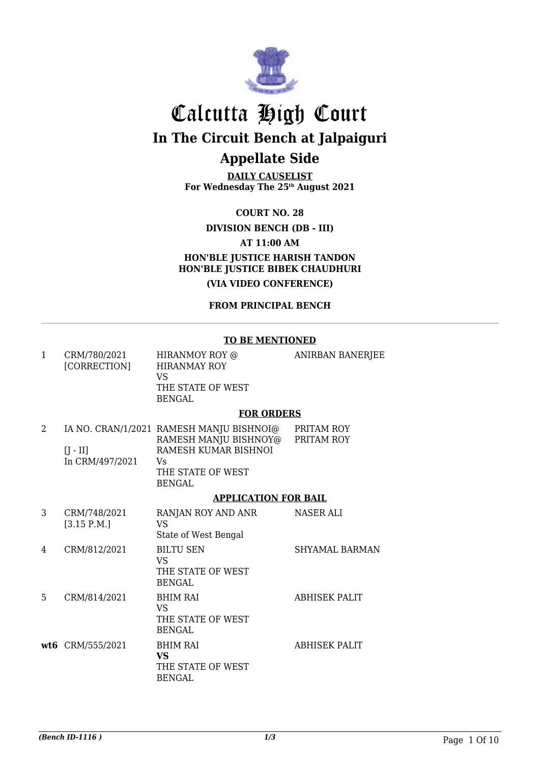

**DAILY CAUSELIST For Wednesday The 25th August 2021**

**COURT NO. 28**

**DIVISION BENCH (DB - III)**

**AT 11:00 AM**

**HON'BLE JUSTICE HARISH TANDON HON'BLE JUSTICE BIBEK CHAUDHURI**

**(VIA VIDEO CONFERENCE)**

**FROM PRINCIPAL BENCH**

#### **TO BE MENTIONED**

| 1 | CRM/780/2021<br>[CORRECTION]  | HIRANMOY ROY @<br><b>HIRANMAY ROY</b><br><b>VS</b><br>THE STATE OF WEST<br><b>BENGAL</b>                                              | <b>ANIRBAN BANERJEE</b>  |
|---|-------------------------------|---------------------------------------------------------------------------------------------------------------------------------------|--------------------------|
|   |                               | <b>FOR ORDERS</b>                                                                                                                     |                          |
| 2 | $[J - II]$<br>In CRM/497/2021 | IA NO. CRAN/1/2021 RAMESH MANJU BISHNOI@<br>RAMESH MANJU BISHNOY@<br>RAMESH KUMAR BISHNOI<br>Vs<br>THE STATE OF WEST<br><b>BENGAL</b> | PRITAM ROY<br>PRITAM ROY |
|   |                               | <b>APPLICATION FOR BAIL</b>                                                                                                           |                          |
| 3 | CRM/748/2021<br>[3.15 P.M.]   | RANJAN ROY AND ANR<br><b>VS</b><br>State of West Bengal                                                                               | <b>NASER ALI</b>         |
| 4 | CRM/812/2021                  | <b>BILTU SEN</b><br><b>VS</b><br>THE STATE OF WEST<br><b>BENGAL</b>                                                                   | <b>SHYAMAL BARMAN</b>    |
| 5 | CRM/814/2021                  | <b>BHIM RAI</b><br>VS <sub>1</sub><br>THE STATE OF WEST<br><b>BENGAL</b>                                                              | <b>ABHISEK PALIT</b>     |
|   | wt6 CRM/555/2021              | <b>BHIM RAI</b><br><b>VS</b><br>THE STATE OF WEST<br><b>BENGAL</b>                                                                    | <b>ABHISEK PALIT</b>     |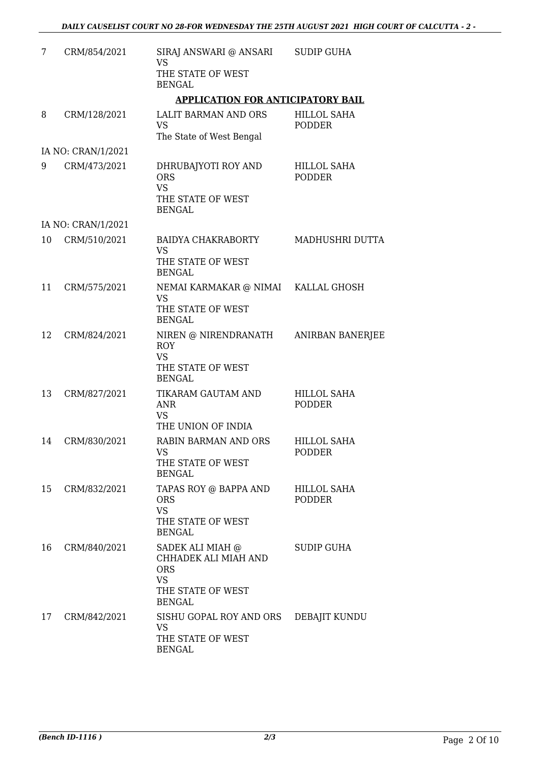| 7  | CRM/854/2021       | SIRAJ ANSWARI @ ANSARI<br><b>VS</b>                                                                       | <b>SUDIP GUHA</b>                   |
|----|--------------------|-----------------------------------------------------------------------------------------------------------|-------------------------------------|
|    |                    | THE STATE OF WEST<br><b>BENGAL</b>                                                                        |                                     |
|    |                    | <b>APPLICATION FOR ANTICIPATORY BAIL</b>                                                                  |                                     |
| 8  | CRM/128/2021       | LALIT BARMAN AND ORS<br><b>VS</b><br>The State of West Bengal                                             | <b>HILLOL SAHA</b><br><b>PODDER</b> |
|    | IA NO: CRAN/1/2021 |                                                                                                           |                                     |
| 9  | CRM/473/2021       | DHRUBAJYOTI ROY AND<br><b>ORS</b><br><b>VS</b><br>THE STATE OF WEST<br><b>BENGAL</b>                      | <b>HILLOL SAHA</b><br><b>PODDER</b> |
|    | IA NO: CRAN/1/2021 |                                                                                                           |                                     |
| 10 | CRM/510/2021       | BAIDYA CHAKRABORTY<br>VS<br>THE STATE OF WEST<br><b>BENGAL</b>                                            | MADHUSHRI DUTTA                     |
| 11 | CRM/575/2021       | NEMAI KARMAKAR @ NIMAI KALLAL GHOSH<br><b>VS</b><br>THE STATE OF WEST<br><b>BENGAL</b>                    |                                     |
| 12 | CRM/824/2021       | NIREN @ NIRENDRANATH<br><b>ROY</b><br><b>VS</b><br>THE STATE OF WEST<br><b>BENGAL</b>                     | ANIRBAN BANERJEE                    |
| 13 | CRM/827/2021       | TIKARAM GAUTAM AND<br><b>ANR</b><br><b>VS</b><br>THE UNION OF INDIA                                       | HILLOL SAHA<br><b>PODDER</b>        |
| 14 | CRM/830/2021       | RABIN BARMAN AND ORS<br>VS<br>THE STATE OF WEST<br><b>BENGAL</b>                                          | HILLOL SAHA<br>PODDER               |
| 15 | CRM/832/2021       | TAPAS ROY @ BAPPA AND<br><b>ORS</b><br><b>VS</b><br>THE STATE OF WEST<br><b>BENGAL</b>                    | <b>HILLOL SAHA</b><br><b>PODDER</b> |
| 16 | CRM/840/2021       | SADEK ALI MIAH @<br>CHHADEK ALI MIAH AND<br><b>ORS</b><br><b>VS</b><br>THE STATE OF WEST<br><b>BENGAL</b> | SUDIP GUHA                          |
| 17 | CRM/842/2021       | SISHU GOPAL ROY AND ORS<br>VS<br>THE STATE OF WEST<br><b>BENGAL</b>                                       | DEBAJIT KUNDU                       |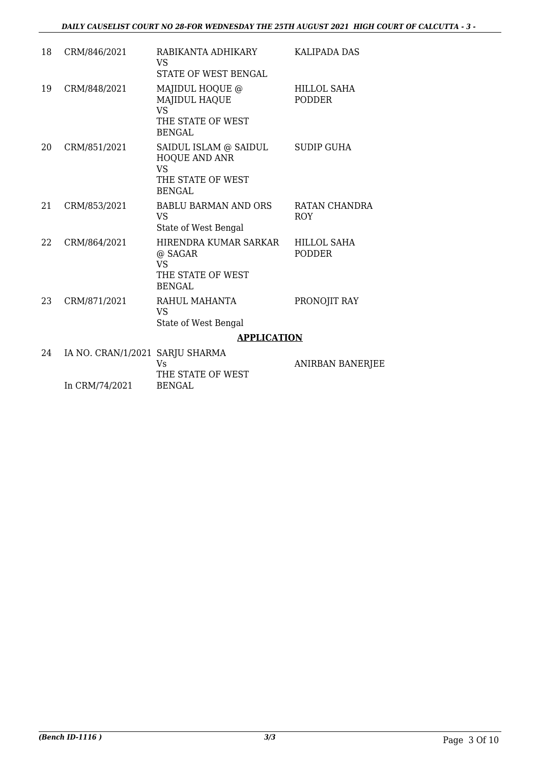| 18 | CRM/846/2021                    | RABIKANTA ADHIKARY<br>VS<br><b>STATE OF WEST BENGAL</b>                                    | <b>KALIPADA DAS</b>                 |
|----|---------------------------------|--------------------------------------------------------------------------------------------|-------------------------------------|
| 19 | CRM/848/2021                    | MAJIDUL HOQUE @<br><b>MAJIDUL HAQUE</b><br><b>VS</b><br>THE STATE OF WEST<br><b>BENGAL</b> | HILLOL SAHA<br><b>PODDER</b>        |
| 20 | CRM/851/2021                    | SAIDUL ISLAM @ SAIDUL<br>HOQUE AND ANR<br><b>VS</b><br>THE STATE OF WEST<br><b>BENGAL</b>  | SUDIP GUHA                          |
| 21 | CRM/853/2021                    | <b>BABLU BARMAN AND ORS</b><br><b>VS</b><br>State of West Bengal                           | RATAN CHANDRA<br><b>ROY</b>         |
| 22 | CRM/864/2021                    | HIRENDRA KUMAR SARKAR<br>@ SAGAR<br><b>VS</b><br>THE STATE OF WEST<br><b>BENGAL</b>        | <b>HILLOL SAHA</b><br><b>PODDER</b> |
| 23 | CRM/871/2021                    | RAHUL MAHANTA<br><b>VS</b><br>State of West Bengal                                         | PRONOJIT RAY                        |
|    |                                 | <b>APPLICATION</b>                                                                         |                                     |
| 24 | IA NO. CRAN/1/2021 SARJU SHARMA | <b>Vs</b><br>THE STATE OF WEST                                                             | <b>ANIRBAN BANERJEE</b>             |
|    | In CRM/74/2021                  | <b>BENGAL</b>                                                                              |                                     |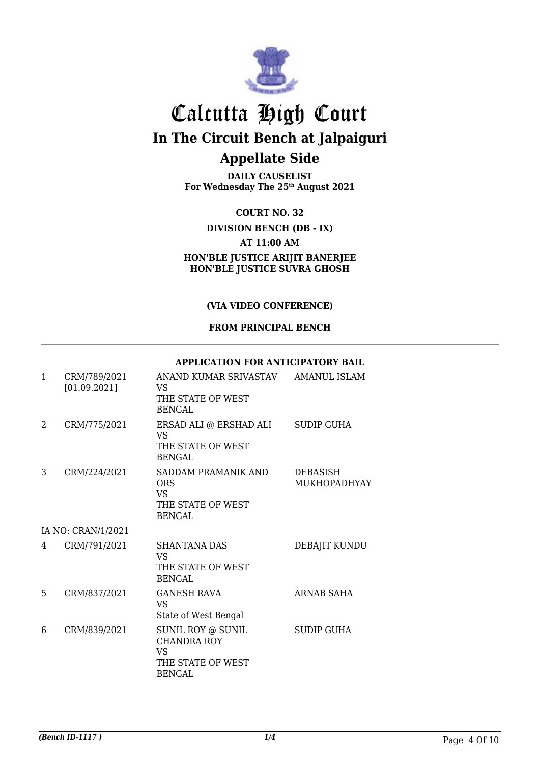

**DAILY CAUSELIST For Wednesday The 25th August 2021**

**COURT NO. 32 DIVISION BENCH (DB - IX) AT 11:00 AM HON'BLE JUSTICE ARIJIT BANERJEE HON'BLE JUSTICE SUVRA GHOSH**

#### **(VIA VIDEO CONFERENCE)**

#### **FROM PRINCIPAL BENCH**

#### **APPLICATION FOR ANTICIPATORY BAIL**

| $\mathbf{1}$ | CRM/789/2021<br>[01.09.2021] | ANAND KUMAR SRIVASTAV<br>VS.<br>THE STATE OF WEST<br><b>BENGAL</b>                   | AMANUL ISLAM                           |
|--------------|------------------------------|--------------------------------------------------------------------------------------|----------------------------------------|
| 2            | CRM/775/2021                 | ERSAD ALI @ ERSHAD ALI<br><b>VS</b><br>THE STATE OF WEST<br><b>BENGAL</b>            | <b>SUDIP GUHA</b>                      |
| 3            | CRM/224/2021                 | SADDAM PRAMANIK AND<br><b>ORS</b><br>VS.<br>THE STATE OF WEST<br><b>BENGAL</b>       | <b>DEBASISH</b><br><b>MUKHOPADHYAY</b> |
|              | IA NO: CRAN/1/2021           |                                                                                      |                                        |
| 4            | CRM/791/2021                 | <b>SHANTANA DAS</b><br>VS.<br>THE STATE OF WEST<br><b>BENGAL</b>                     | DEBAJIT KUNDU                          |
| 5            | CRM/837/2021                 | <b>GANESH RAVA</b><br><b>VS</b><br>State of West Bengal                              | <b>ARNAB SAHA</b>                      |
| 6            | CRM/839/2021                 | SUNIL ROY @ SUNIL<br><b>CHANDRA ROY</b><br>VS.<br>THE STATE OF WEST<br><b>BENGAL</b> | <b>SUDIP GUHA</b>                      |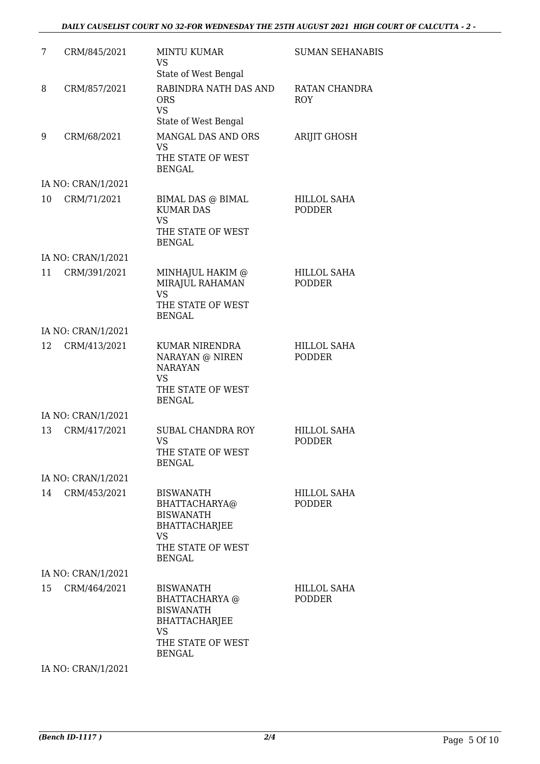#### *DAILY CAUSELIST COURT NO 32-FOR WEDNESDAY THE 25TH AUGUST 2021 HIGH COURT OF CALCUTTA - 2 -*

| CRM/845/2021 | <b>MINTU KUMAR</b><br><b>VS</b>                                                                                                                  | <b>SUMAN SEHANABIS</b>                                                     |
|--------------|--------------------------------------------------------------------------------------------------------------------------------------------------|----------------------------------------------------------------------------|
| CRM/857/2021 | RABINDRA NATH DAS AND<br><b>ORS</b><br><b>VS</b><br>State of West Bengal                                                                         | RATAN CHANDRA<br><b>ROY</b>                                                |
| CRM/68/2021  | MANGAL DAS AND ORS<br><b>VS</b><br>THE STATE OF WEST<br><b>BENGAL</b>                                                                            | <b>ARIJIT GHOSH</b>                                                        |
|              |                                                                                                                                                  |                                                                            |
| CRM/71/2021  | BIMAL DAS @ BIMAL<br><b>KUMAR DAS</b><br><b>VS</b><br>THE STATE OF WEST                                                                          | HILLOL SAHA<br><b>PODDER</b>                                               |
|              |                                                                                                                                                  |                                                                            |
|              |                                                                                                                                                  |                                                                            |
|              | MIRAJUL RAHAMAN<br><b>VS</b><br>THE STATE OF WEST<br><b>BENGAL</b>                                                                               | <b>HILLOL SAHA</b><br><b>PODDER</b>                                        |
|              |                                                                                                                                                  |                                                                            |
| CRM/413/2021 | KUMAR NIRENDRA<br>NARAYAN @ NIREN<br><b>NARAYAN</b><br><b>VS</b><br>THE STATE OF WEST                                                            | <b>HILLOL SAHA</b><br><b>PODDER</b>                                        |
|              |                                                                                                                                                  |                                                                            |
| CRM/417/2021 | <b>SUBAL CHANDRA ROY</b><br><b>VS</b><br>THE STATE OF WEST<br><b>BENGAL</b>                                                                      | <b>HILLOL SAHA</b><br><b>PODDER</b>                                        |
|              |                                                                                                                                                  |                                                                            |
| CRM/453/2021 | <b>BISWANATH</b><br>BHATTACHARYA@<br><b>BISWANATH</b><br><b>BHATTACHARJEE</b><br>VS<br>THE STATE OF WEST<br><b>BENGAL</b>                        | <b>HILLOL SAHA</b><br><b>PODDER</b>                                        |
|              |                                                                                                                                                  |                                                                            |
| CRM/464/2021 | <b>BISWANATH</b><br><b>BHATTACHARYA</b> @<br><b>BISWANATH</b><br><b>BHATTACHARJEE</b><br>VS<br>THE STATE OF WEST<br><b>BENGAL</b>                | <b>HILLOL SAHA</b><br><b>PODDER</b>                                        |
|              | IA NO: CRAN/1/2021<br>IA NO: CRAN/1/2021<br>CRM/391/2021<br>IA NO: CRAN/1/2021<br>IA NO: CRAN/1/2021<br>IA NO: CRAN/1/2021<br>IA NO: CRAN/1/2021 | State of West Bengal<br><b>BENGAL</b><br>MINHAJUL HAKIM @<br><b>BENGAL</b> |

IA NO: CRAN/1/2021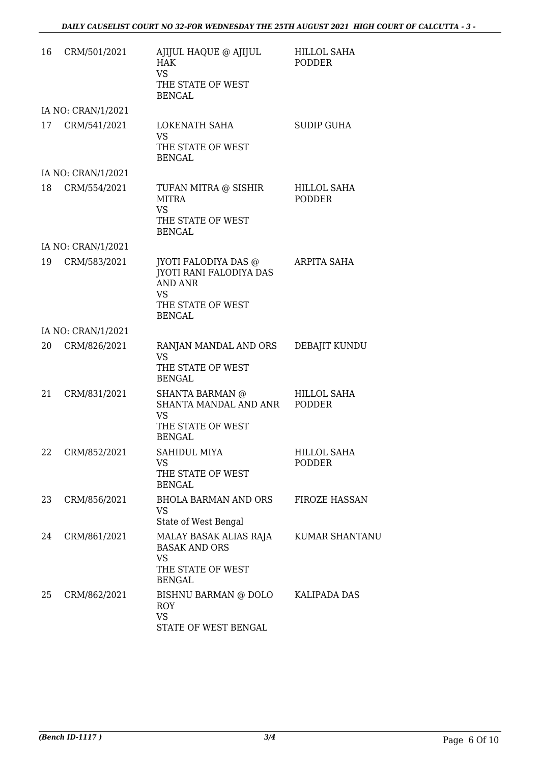| 16 | CRM/501/2021       | AJIJUL HAQUE @ AJIJUL<br><b>HAK</b><br><b>VS</b><br>THE STATE OF WEST<br><b>BENGAL</b>                                      | <b>HILLOL SAHA</b><br><b>PODDER</b> |
|----|--------------------|-----------------------------------------------------------------------------------------------------------------------------|-------------------------------------|
|    | IA NO: CRAN/1/2021 |                                                                                                                             |                                     |
| 17 | CRM/541/2021       | LOKENATH SAHA<br><b>VS</b><br>THE STATE OF WEST<br><b>BENGAL</b>                                                            | <b>SUDIP GUHA</b>                   |
|    | IA NO: CRAN/1/2021 |                                                                                                                             |                                     |
| 18 | CRM/554/2021       | TUFAN MITRA @ SISHIR<br><b>MITRA</b><br><b>VS</b><br>THE STATE OF WEST<br><b>BENGAL</b>                                     | HILLOL SAHA<br><b>PODDER</b>        |
|    | IA NO: CRAN/1/2021 |                                                                                                                             |                                     |
| 19 | CRM/583/2021       | JYOTI FALODIYA DAS @<br><b>JYOTI RANI FALODIYA DAS</b><br><b>AND ANR</b><br><b>VS</b><br>THE STATE OF WEST<br><b>BENGAL</b> | <b>ARPITA SAHA</b>                  |
|    | IA NO: CRAN/1/2021 |                                                                                                                             |                                     |
| 20 | CRM/826/2021       | RANJAN MANDAL AND ORS<br>VS.<br>THE STATE OF WEST<br><b>BENGAL</b>                                                          | DEBAJIT KUNDU                       |
| 21 | CRM/831/2021       | <b>SHANTA BARMAN</b> @<br>SHANTA MANDAL AND ANR<br><b>VS</b><br>THE STATE OF WEST<br><b>BENGAL</b>                          | <b>HILLOL SAHA</b><br><b>PODDER</b> |
| 22 | CRM/852/2021       | <b>SAHIDUL MIYA</b><br><b>VS</b><br>THE STATE OF WEST<br><b>BENGAL</b>                                                      | <b>HILLOL SAHA</b><br><b>PODDER</b> |
| 23 | CRM/856/2021       | BHOLA BARMAN AND ORS<br><b>VS</b><br>State of West Bengal                                                                   | <b>FIROZE HASSAN</b>                |
| 24 | CRM/861/2021       | MALAY BASAK ALIAS RAJA<br><b>BASAK AND ORS</b><br><b>VS</b><br>THE STATE OF WEST<br><b>BENGAL</b>                           | <b>KUMAR SHANTANU</b>               |
| 25 | CRM/862/2021       | BISHNU BARMAN @ DOLO<br><b>ROY</b><br><b>VS</b><br>STATE OF WEST BENGAL                                                     | KALIPADA DAS                        |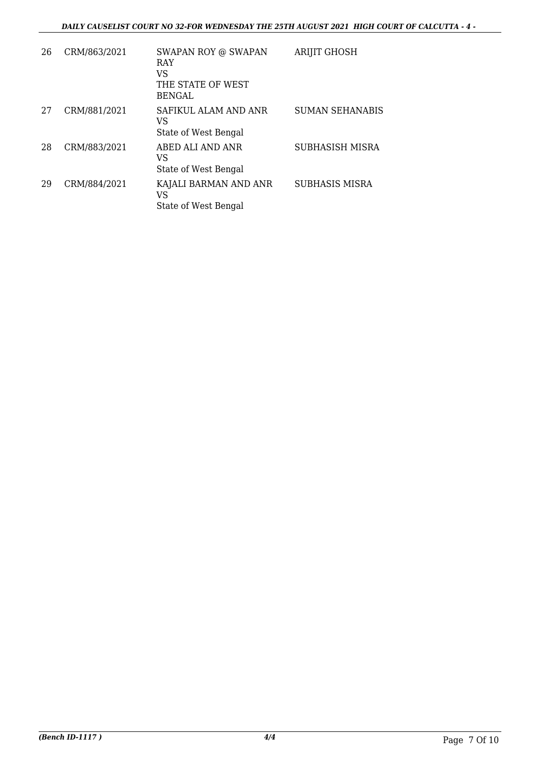#### *DAILY CAUSELIST COURT NO 32-FOR WEDNESDAY THE 25TH AUGUST 2021 HIGH COURT OF CALCUTTA - 4 -*

| 26 | CRM/863/2021 | <b>SWAPAN ROY @ SWAPAN</b><br><b>RAY</b><br>VS<br>THE STATE OF WEST | <b>ARIJIT GHOSH</b>    |
|----|--------------|---------------------------------------------------------------------|------------------------|
|    |              | <b>BENGAL</b>                                                       |                        |
| 27 | CRM/881/2021 | SAFIKUL ALAM AND ANR<br>VS                                          | <b>SUMAN SEHANABIS</b> |
|    |              | State of West Bengal                                                |                        |
| 28 | CRM/883/2021 | ABED ALI AND ANR<br>VS<br>State of West Bengal                      | SUBHASISH MISRA        |
|    |              |                                                                     |                        |
| 29 | CRM/884/2021 | KAJALI BARMAN AND ANR<br>VS                                         | <b>SUBHASIS MISRA</b>  |
|    |              | State of West Bengal                                                |                        |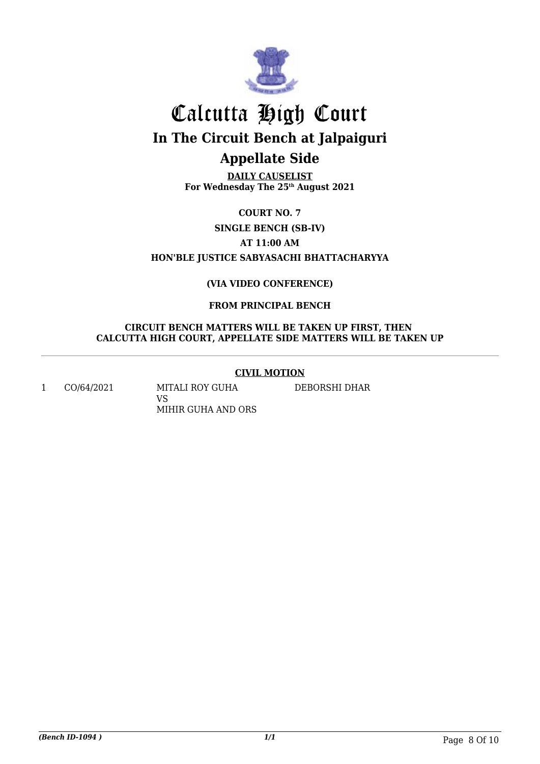

**DAILY CAUSELIST For Wednesday The 25th August 2021**

**COURT NO. 7 SINGLE BENCH (SB-IV) AT 11:00 AM HON'BLE JUSTICE SABYASACHI BHATTACHARYYA**

#### **(VIA VIDEO CONFERENCE)**

#### **FROM PRINCIPAL BENCH**

#### **CIRCUIT BENCH MATTERS WILL BE TAKEN UP FIRST, THEN CALCUTTA HIGH COURT, APPELLATE SIDE MATTERS WILL BE TAKEN UP**

#### **CIVIL MOTION**

1 CO/64/2021 MITALI ROY GUHA VS MIHIR GUHA AND ORS

DEBORSHI DHAR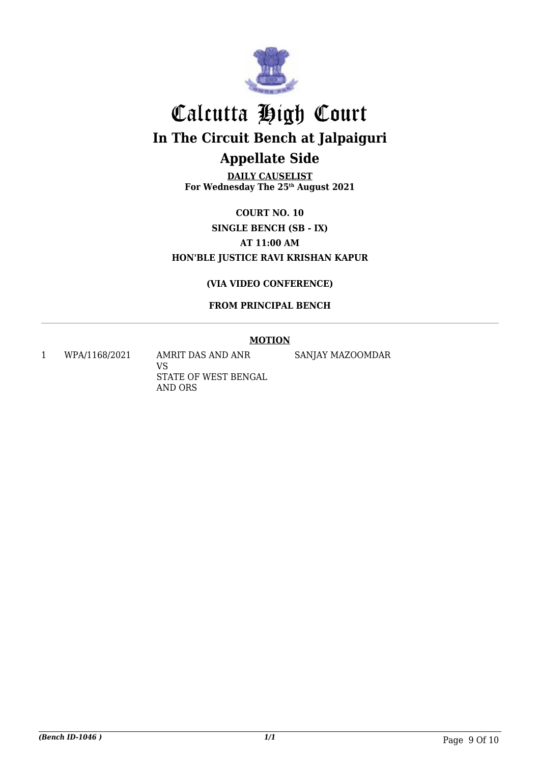

**DAILY CAUSELIST For Wednesday The 25th August 2021**

**COURT NO. 10 SINGLE BENCH (SB - IX) AT 11:00 AM HON'BLE JUSTICE RAVI KRISHAN KAPUR**

#### **(VIA VIDEO CONFERENCE)**

#### **FROM PRINCIPAL BENCH**

#### **MOTION**

1 WPA/1168/2021 AMRIT DAS AND ANR

VS STATE OF WEST BENGAL AND ORS

SANJAY MAZOOMDAR